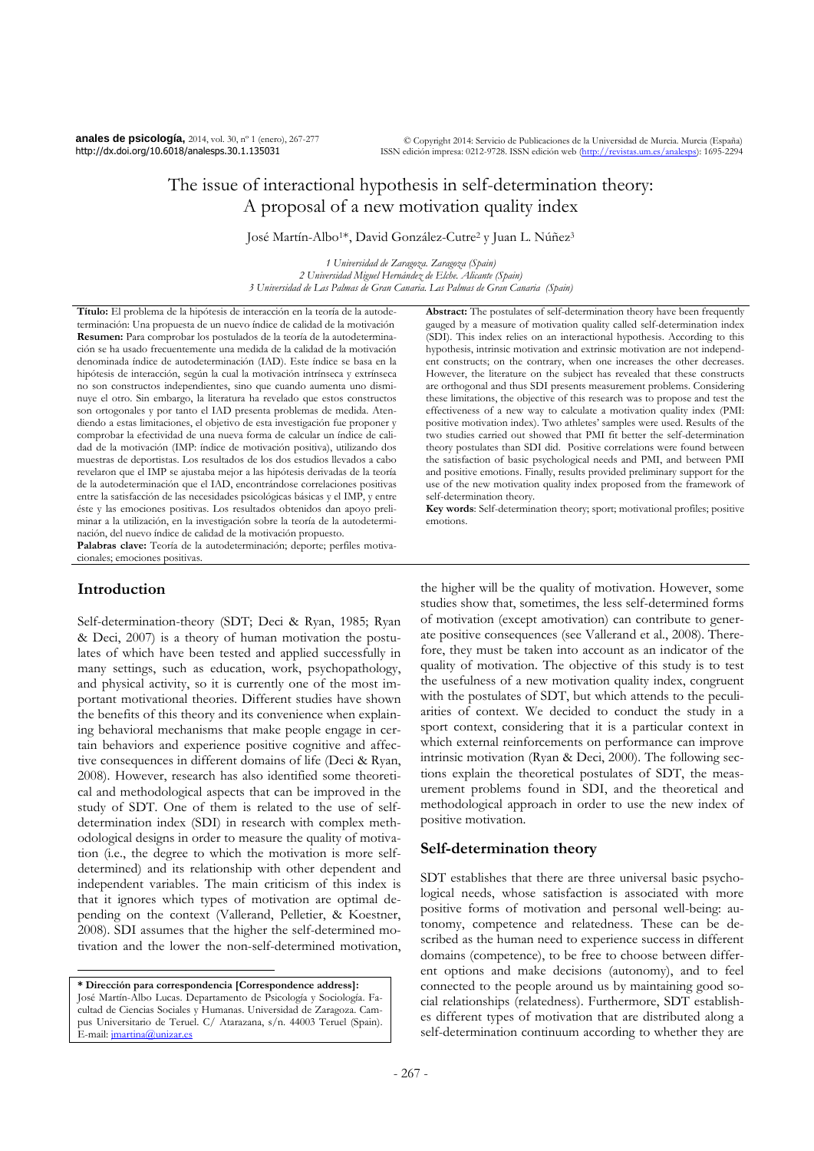**anales de psicología,** 2014, vol. 30, nº 1 (enero), 267-277 http://dx.doi.org/10.6018/analesps.30.1.135031

© Copyright 2014: Servicio de Publicaciones de la Universidad de Murcia. Murcia (España) ISSN edición impresa: 0212-9728. ISSN edición web (http://revistas.um.es/analesps): 1695-2294

# The issue of interactional hypothesis in self-determination theory: A proposal of a new motivation quality index

José Martín-Albo<sup>1\*</sup>, David González-Cutre<sup>2</sup> y Juan L. Núñez<sup>3</sup>

*1 Universidad de Zaragoza. Zaragoza (Spain) 2 Universidad Miguel Hernández de Elche. Alicante (Spain) 3 Universidad de Las Palmas de Gran Canaria. Las Palmas de Gran Canaria (Spain)*

**Título:** El problema de la hipótesis de interacción en la teoría de la autodeterminación: Una propuesta de un nuevo índice de calidad de la motivación **Resumen:** Para comprobar los postulados de la teoría de la autodeterminación se ha usado frecuentemente una medida de la calidad de la motivación denominada índice de autodeterminación (IAD). Este índice se basa en la hipótesis de interacción, según la cual la motivación intrínseca y extrínseca no son constructos independientes, sino que cuando aumenta uno disminuye el otro. Sin embargo, la literatura ha revelado que estos constructos son ortogonales y por tanto el IAD presenta problemas de medida. Atendiendo a estas limitaciones, el objetivo de esta investigación fue proponer y comprobar la efectividad de una nueva forma de calcular un índice de calidad de la motivación (IMP: índice de motivación positiva), utilizando dos muestras de deportistas. Los resultados de los dos estudios llevados a cabo revelaron que el IMP se ajustaba mejor a las hipótesis derivadas de la teoría de la autodeterminación que el IAD, encontrándose correlaciones positivas entre la satisfacción de las necesidades psicológicas básicas y el IMP, y entre éste y las emociones positivas. Los resultados obtenidos dan apoyo preliminar a la utilización, en la investigación sobre la teoría de la autodeterminación, del nuevo índice de calidad de la motivación propuesto.

**Palabras clave:** Teoría de la autodeterminación; deporte; perfiles motivacionales; emociones positivas.

## **Introduction**

 $\overline{a}$ 

Self-determination-theory (SDT; Deci & Ryan, 1985; Ryan & Deci, 2007) is a theory of human motivation the postulates of which have been tested and applied successfully in many settings, such as education, work, psychopathology, and physical activity, so it is currently one of the most important motivational theories. Different studies have shown the benefits of this theory and its convenience when explaining behavioral mechanisms that make people engage in certain behaviors and experience positive cognitive and affective consequences in different domains of life (Deci & Ryan, 2008). However, research has also identified some theoretical and methodological aspects that can be improved in the study of SDT. One of them is related to the use of selfdetermination index (SDI) in research with complex methodological designs in order to measure the quality of motivation (i.e., the degree to which the motivation is more selfdetermined) and its relationship with other dependent and independent variables. The main criticism of this index is that it ignores which types of motivation are optimal depending on the context (Vallerand, Pelletier, & Koestner, 2008). SDI assumes that the higher the self-determined motivation and the lower the non-self-determined motivation,

**\* Dirección para correspondencia [Correspondence address]:**  José Martín-Albo Lucas. Departamento de Psicología y Sociología. Facultad de Ciencias Sociales y Humanas. Universidad de Zaragoza. Campus Universitario de Teruel. C/ Atarazana, s/n. 44003 Teruel (Spain). E-mail:  $imartina@$ unizar.e

**Abstract:** The postulates of self-determination theory have been frequently gauged by a measure of motivation quality called self-determination index (SDI). This index relies on an interactional hypothesis. According to this hypothesis, intrinsic motivation and extrinsic motivation are not independent constructs; on the contrary, when one increases the other decreases. However, the literature on the subject has revealed that these constructs are orthogonal and thus SDI presents measurement problems. Considering these limitations, the objective of this research was to propose and test the effectiveness of a new way to calculate a motivation quality index (PMI: positive motivation index). Two athletes' samples were used. Results of the two studies carried out showed that PMI fit better the self-determination theory postulates than SDI did. Positive correlations were found between the satisfaction of basic psychological needs and PMI, and between PMI and positive emotions. Finally, results provided preliminary support for the use of the new motivation quality index proposed from the framework of self-determination theory.

**Key words**: Self-determination theory; sport; motivational profiles; positive emotions.

the higher will be the quality of motivation. However, some studies show that, sometimes, the less self-determined forms of motivation (except amotivation) can contribute to generate positive consequences (see Vallerand et al., 2008). Therefore, they must be taken into account as an indicator of the quality of motivation. The objective of this study is to test the usefulness of a new motivation quality index, congruent with the postulates of SDT, but which attends to the peculiarities of context. We decided to conduct the study in a sport context, considering that it is a particular context in which external reinforcements on performance can improve intrinsic motivation (Ryan & Deci, 2000). The following sections explain the theoretical postulates of SDT, the measurement problems found in SDI, and the theoretical and methodological approach in order to use the new index of positive motivation.

## **Self-determination theory**

SDT establishes that there are three universal basic psychological needs, whose satisfaction is associated with more positive forms of motivation and personal well-being: autonomy, competence and relatedness. These can be described as the human need to experience success in different domains (competence), to be free to choose between different options and make decisions (autonomy), and to feel connected to the people around us by maintaining good social relationships (relatedness). Furthermore, SDT establishes different types of motivation that are distributed along a self-determination continuum according to whether they are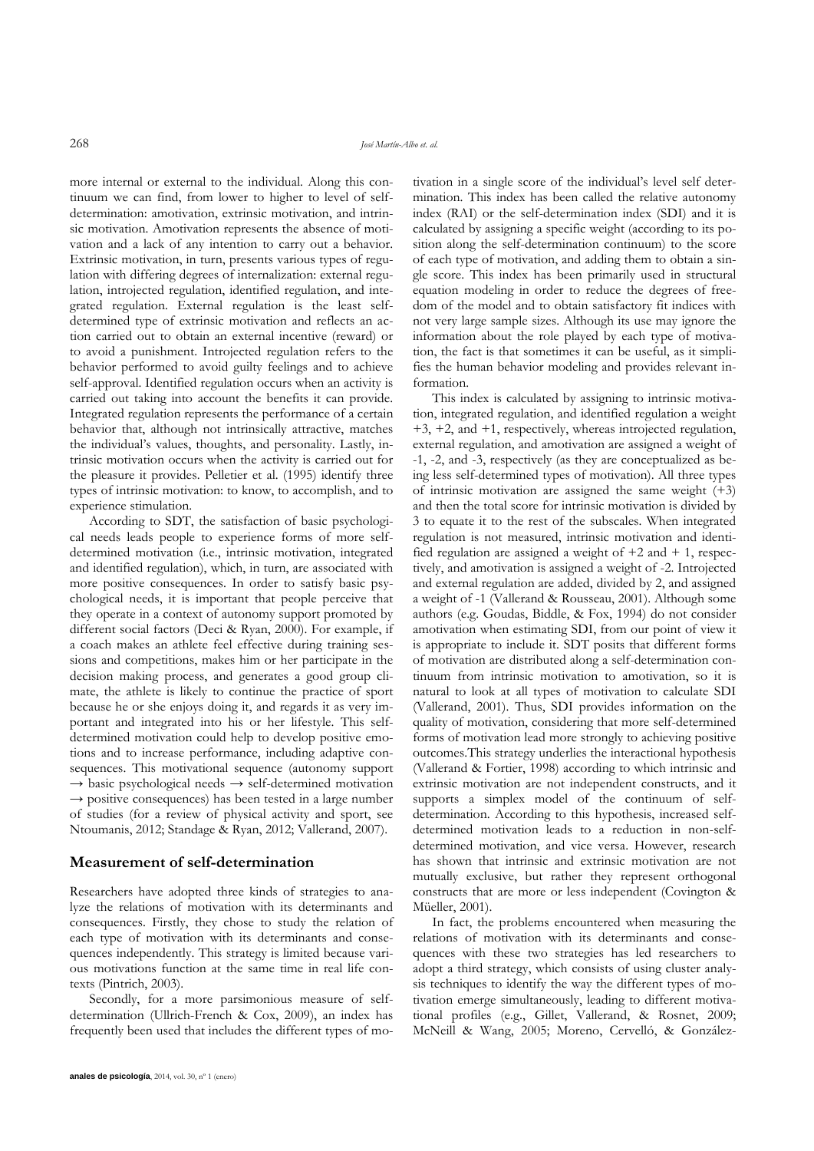more internal or external to the individual. Along this continuum we can find, from lower to higher to level of selfdetermination: amotivation, extrinsic motivation, and intrinsic motivation. Amotivation represents the absence of motivation and a lack of any intention to carry out a behavior. Extrinsic motivation, in turn, presents various types of regulation with differing degrees of internalization: external regulation, introjected regulation, identified regulation, and integrated regulation. External regulation is the least selfdetermined type of extrinsic motivation and reflects an action carried out to obtain an external incentive (reward) or to avoid a punishment. Introjected regulation refers to the behavior performed to avoid guilty feelings and to achieve self-approval. Identified regulation occurs when an activity is carried out taking into account the benefits it can provide. Integrated regulation represents the performance of a certain behavior that, although not intrinsically attractive, matches the individual's values, thoughts, and personality. Lastly, intrinsic motivation occurs when the activity is carried out for the pleasure it provides. Pelletier et al. (1995) identify three types of intrinsic motivation: to know, to accomplish, and to experience stimulation.

According to SDT, the satisfaction of basic psychological needs leads people to experience forms of more selfdetermined motivation (i.e., intrinsic motivation, integrated and identified regulation), which, in turn, are associated with more positive consequences. In order to satisfy basic psychological needs, it is important that people perceive that they operate in a context of autonomy support promoted by different social factors (Deci & Ryan, 2000). For example, if a coach makes an athlete feel effective during training sessions and competitions, makes him or her participate in the decision making process, and generates a good group climate, the athlete is likely to continue the practice of sport because he or she enjoys doing it, and regards it as very important and integrated into his or her lifestyle. This selfdetermined motivation could help to develop positive emotions and to increase performance, including adaptive consequences. This motivational sequence (autonomy support → basic psychological needs → self-determined motivation → positive consequences) has been tested in a large number of studies (for a review of physical activity and sport, see Ntoumanis, 2012; Standage & Ryan, 2012; Vallerand, 2007).

### **Measurement of self-determination**

Researchers have adopted three kinds of strategies to analyze the relations of motivation with its determinants and consequences. Firstly, they chose to study the relation of each type of motivation with its determinants and consequences independently. This strategy is limited because various motivations function at the same time in real life contexts (Pintrich, 2003).

Secondly, for a more parsimonious measure of selfdetermination (Ullrich-French & Cox, 2009), an index has frequently been used that includes the different types of motivation in a single score of the individual's level self determination. This index has been called the relative autonomy index (RAI) or the self-determination index (SDI) and it is calculated by assigning a specific weight (according to its position along the self-determination continuum) to the score of each type of motivation, and adding them to obtain a single score. This index has been primarily used in structural equation modeling in order to reduce the degrees of freedom of the model and to obtain satisfactory fit indices with not very large sample sizes. Although its use may ignore the information about the role played by each type of motivation, the fact is that sometimes it can be useful, as it simplifies the human behavior modeling and provides relevant information.

This index is calculated by assigning to intrinsic motivation, integrated regulation, and identified regulation a weight +3, +2, and +1, respectively, whereas introjected regulation, external regulation, and amotivation are assigned a weight of -1, -2, and -3, respectively (as they are conceptualized as being less self-determined types of motivation). All three types of intrinsic motivation are assigned the same weight  $(+3)$ and then the total score for intrinsic motivation is divided by 3 to equate it to the rest of the subscales. When integrated regulation is not measured, intrinsic motivation and identified regulation are assigned a weight of  $+2$  and  $+1$ , respectively, and amotivation is assigned a weight of -2. Introjected and external regulation are added, divided by 2, and assigned a weight of -1 (Vallerand & Rousseau, 2001). Although some authors (e.g. Goudas, Biddle, & Fox, 1994) do not consider amotivation when estimating SDI, from our point of view it is appropriate to include it. SDT posits that different forms of motivation are distributed along a self-determination continuum from intrinsic motivation to amotivation, so it is natural to look at all types of motivation to calculate SDI (Vallerand, 2001). Thus, SDI provides information on the quality of motivation, considering that more self-determined forms of motivation lead more strongly to achieving positive outcomes.This strategy underlies the interactional hypothesis (Vallerand & Fortier, 1998) according to which intrinsic and extrinsic motivation are not independent constructs, and it supports a simplex model of the continuum of selfdetermination. According to this hypothesis, increased selfdetermined motivation leads to a reduction in non-selfdetermined motivation, and vice versa. However, research has shown that intrinsic and extrinsic motivation are not mutually exclusive, but rather they represent orthogonal constructs that are more or less independent (Covington & Müeller, 2001).

In fact, the problems encountered when measuring the relations of motivation with its determinants and consequences with these two strategies has led researchers to adopt a third strategy, which consists of using cluster analysis techniques to identify the way the different types of motivation emerge simultaneously, leading to different motivational profiles (e.g., Gillet, Vallerand, & Rosnet, 2009; McNeill & Wang, 2005; Moreno, Cervelló, & González-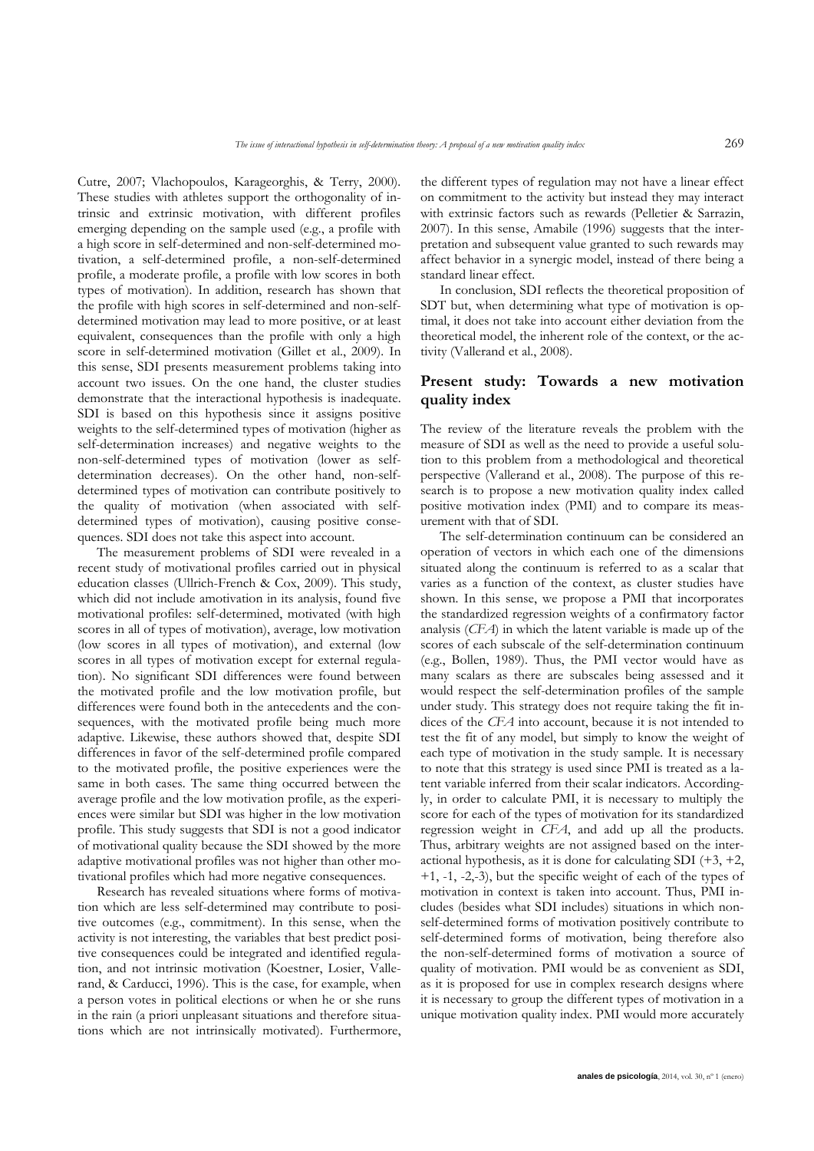Cutre, 2007; Vlachopoulos, Karageorghis, & Terry, 2000). These studies with athletes support the orthogonality of intrinsic and extrinsic motivation, with different profiles emerging depending on the sample used (e.g., a profile with a high score in self-determined and non-self-determined motivation, a self-determined profile, a non-self-determined profile, a moderate profile, a profile with low scores in both types of motivation). In addition, research has shown that the profile with high scores in self-determined and non-selfdetermined motivation may lead to more positive, or at least equivalent, consequences than the profile with only a high score in self-determined motivation (Gillet et al., 2009). In this sense, SDI presents measurement problems taking into account two issues. On the one hand, the cluster studies demonstrate that the interactional hypothesis is inadequate. SDI is based on this hypothesis since it assigns positive weights to the self-determined types of motivation (higher as self-determination increases) and negative weights to the non-self-determined types of motivation (lower as selfdetermination decreases). On the other hand, non-selfdetermined types of motivation can contribute positively to the quality of motivation (when associated with selfdetermined types of motivation), causing positive consequences. SDI does not take this aspect into account.

The measurement problems of SDI were revealed in a recent study of motivational profiles carried out in physical education classes (Ullrich-French & Cox, 2009). This study, which did not include amotivation in its analysis, found five motivational profiles: self-determined, motivated (with high scores in all of types of motivation), average, low motivation (low scores in all types of motivation), and external (low scores in all types of motivation except for external regulation). No significant SDI differences were found between the motivated profile and the low motivation profile, but differences were found both in the antecedents and the consequences, with the motivated profile being much more adaptive. Likewise, these authors showed that, despite SDI differences in favor of the self-determined profile compared to the motivated profile, the positive experiences were the same in both cases. The same thing occurred between the average profile and the low motivation profile, as the experiences were similar but SDI was higher in the low motivation profile. This study suggests that SDI is not a good indicator of motivational quality because the SDI showed by the more adaptive motivational profiles was not higher than other motivational profiles which had more negative consequences.

Research has revealed situations where forms of motivation which are less self-determined may contribute to positive outcomes (e.g., commitment). In this sense, when the activity is not interesting, the variables that best predict positive consequences could be integrated and identified regulation, and not intrinsic motivation (Koestner, Losier, Vallerand, & Carducci, 1996). This is the case, for example, when a person votes in political elections or when he or she runs in the rain (a priori unpleasant situations and therefore situations which are not intrinsically motivated). Furthermore, the different types of regulation may not have a linear effect on commitment to the activity but instead they may interact with extrinsic factors such as rewards (Pelletier & Sarrazin, 2007). In this sense, Amabile (1996) suggests that the interpretation and subsequent value granted to such rewards may affect behavior in a synergic model, instead of there being a standard linear effect.

In conclusion, SDI reflects the theoretical proposition of SDT but, when determining what type of motivation is optimal, it does not take into account either deviation from the theoretical model, the inherent role of the context, or the activity (Vallerand et al., 2008).

## **Present study: Towards a new motivation quality index**

The review of the literature reveals the problem with the measure of SDI as well as the need to provide a useful solution to this problem from a methodological and theoretical perspective (Vallerand et al., 2008). The purpose of this research is to propose a new motivation quality index called positive motivation index (PMI) and to compare its measurement with that of SDI.

The self-determination continuum can be considered an operation of vectors in which each one of the dimensions situated along the continuum is referred to as a scalar that varies as a function of the context, as cluster studies have shown. In this sense, we propose a PMI that incorporates the standardized regression weights of a confirmatory factor analysis (*CFA*) in which the latent variable is made up of the scores of each subscale of the self-determination continuum (e.g., Bollen, 1989). Thus, the PMI vector would have as many scalars as there are subscales being assessed and it would respect the self-determination profiles of the sample under study. This strategy does not require taking the fit indices of the *CFA* into account, because it is not intended to test the fit of any model, but simply to know the weight of each type of motivation in the study sample. It is necessary to note that this strategy is used since PMI is treated as a latent variable inferred from their scalar indicators. Accordingly, in order to calculate PMI, it is necessary to multiply the score for each of the types of motivation for its standardized regression weight in *CFA*, and add up all the products. Thus, arbitrary weights are not assigned based on the interactional hypothesis, as it is done for calculating SDI  $(+3, +2,$ +1, -1, -2,-3), but the specific weight of each of the types of motivation in context is taken into account. Thus, PMI includes (besides what SDI includes) situations in which nonself-determined forms of motivation positively contribute to self-determined forms of motivation, being therefore also the non-self-determined forms of motivation a source of quality of motivation. PMI would be as convenient as SDI, as it is proposed for use in complex research designs where it is necessary to group the different types of motivation in a unique motivation quality index. PMI would more accurately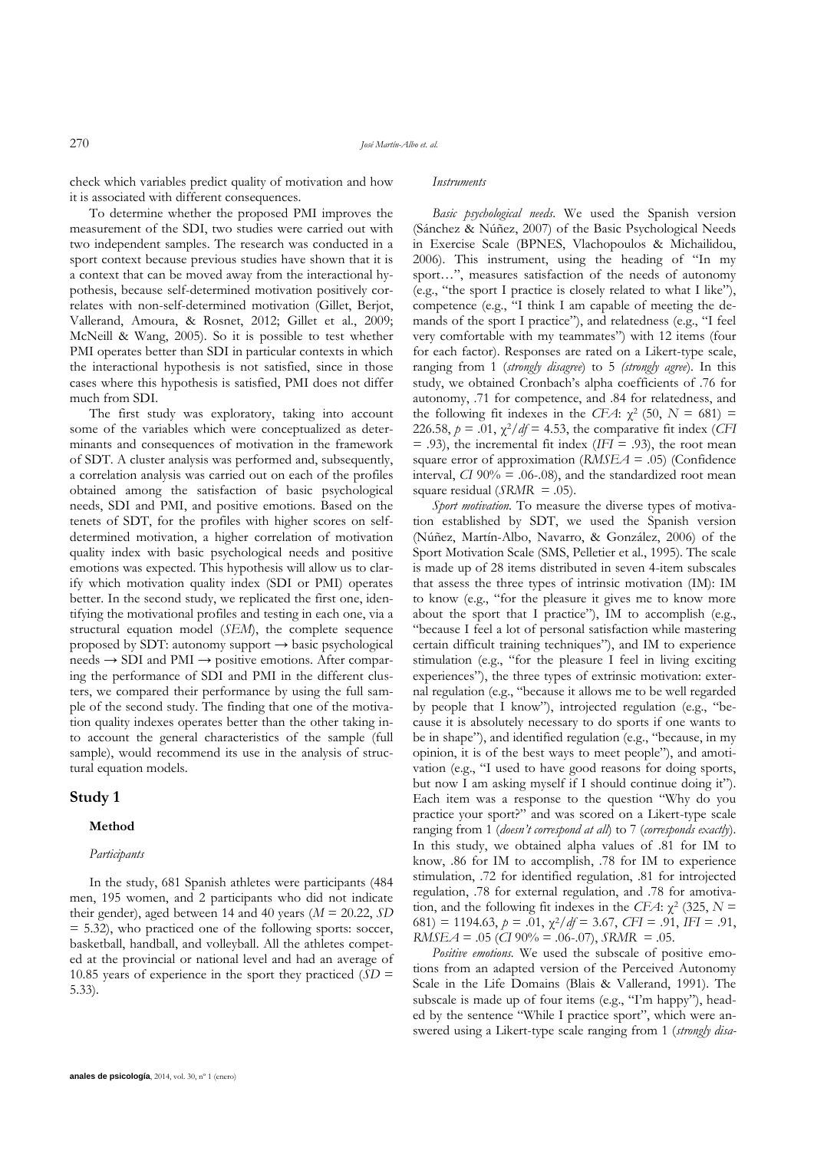check which variables predict quality of motivation and how it is associated with different consequences.

#### *Instruments*

To determine whether the proposed PMI improves the measurement of the SDI, two studies were carried out with two independent samples. The research was conducted in a sport context because previous studies have shown that it is a context that can be moved away from the interactional hypothesis, because self-determined motivation positively correlates with non-self-determined motivation (Gillet, Berjot, Vallerand, Amoura, & Rosnet, 2012; Gillet et al., 2009; McNeill & Wang, 2005). So it is possible to test whether PMI operates better than SDI in particular contexts in which the interactional hypothesis is not satisfied, since in those cases where this hypothesis is satisfied, PMI does not differ much from SDI.

The first study was exploratory, taking into account some of the variables which were conceptualized as determinants and consequences of motivation in the framework of SDT. A cluster analysis was performed and, subsequently, a correlation analysis was carried out on each of the profiles obtained among the satisfaction of basic psychological needs, SDI and PMI, and positive emotions. Based on the tenets of SDT, for the profiles with higher scores on selfdetermined motivation, a higher correlation of motivation quality index with basic psychological needs and positive emotions was expected. This hypothesis will allow us to clarify which motivation quality index (SDI or PMI) operates better. In the second study, we replicated the first one, identifying the motivational profiles and testing in each one, via a structural equation model (*SEM*), the complete sequence proposed by SDT: autonomy support  $\rightarrow$  basic psychological  $needs \rightarrow SDI$  and PMI  $\rightarrow$  positive emotions. After comparing the performance of SDI and PMI in the different clusters, we compared their performance by using the full sample of the second study. The finding that one of the motivation quality indexes operates better than the other taking into account the general characteristics of the sample (full sample), would recommend its use in the analysis of structural equation models.

## **Study 1**

#### **Method**

#### *Participants*

In the study, 681 Spanish athletes were participants (484 men, 195 women, and 2 participants who did not indicate their gender), aged between 14 and 40 years (*M* = 20.22, *SD*  = 5.32), who practiced one of the following sports: soccer, basketball, handball, and volleyball. All the athletes competed at the provincial or national level and had an average of 10.85 years of experience in the sport they practiced (*SD* = 5.33).

*Basic psychological needs*. We used the Spanish version (Sánchez & Núñez, 2007) of the Basic Psychological Needs in Exercise Scale (BPNES, Vlachopoulos & Michailidou, 2006). This instrument, using the heading of "In my sport…", measures satisfaction of the needs of autonomy (e.g., "the sport I practice is closely related to what I like"), competence (e.g., "I think I am capable of meeting the demands of the sport I practice"), and relatedness (e.g., "I feel very comfortable with my teammates") with 12 items (four for each factor). Responses are rated on a Likert-type scale, ranging from 1 (*strongly disagree*) to 5 *(strongly agree*). In this study, we obtained Cronbach's alpha coefficients of .76 for autonomy, .71 for competence, and .84 for relatedness, and the following fit indexes in the *CFA*:  $\gamma^2$  (50, *N* = 681) = 226.58,  $p = .01$ ,  $\frac{\gamma^2}{df} = 4.53$ , the comparative fit index (*CFI* = .93), the incremental fit index (*IFI* = .93), the root mean square error of approximation (*RMSEA* = .05) (Confidence interval,  $CI$  90% = .06-.08), and the standardized root mean square residual (*SRMR* = .05).

*Sport motivation.* To measure the diverse types of motivation established by SDT, we used the Spanish version (Núñez, Martín-Albo, Navarro, & González, 2006) of the Sport Motivation Scale (SMS, Pelletier et al., 1995). The scale is made up of 28 items distributed in seven 4-item subscales that assess the three types of intrinsic motivation (IM): IM to know (e.g., "for the pleasure it gives me to know more about the sport that I practice"), IM to accomplish (e.g., "because I feel a lot of personal satisfaction while mastering certain difficult training techniques"), and IM to experience stimulation (e.g., "for the pleasure I feel in living exciting experiences"), the three types of extrinsic motivation: external regulation (e.g., "because it allows me to be well regarded by people that I know"), introjected regulation (e.g., "because it is absolutely necessary to do sports if one wants to be in shape"), and identified regulation (e.g., "because, in my opinion, it is of the best ways to meet people"), and amotivation (e.g., "I used to have good reasons for doing sports, but now I am asking myself if I should continue doing it"). Each item was a response to the question "Why do you practice your sport?" and was scored on a Likert-type scale ranging from 1 (*doesn't correspond at all*) to 7 (*corresponds exactly*). In this study, we obtained alpha values of .81 for IM to know, .86 for IM to accomplish, .78 for IM to experience stimulation, .72 for identified regulation, .81 for introjected regulation, .78 for external regulation, and .78 for amotivation, and the following fit indexes in the *CFA*:  $\chi^2$  (325, *N* = 681) = 1194.63,  $p = .01$ ,  $\frac{\chi^2}{df} = 3.67$ , *CFI* = .91, *IFI* = .91, *RMSEA* = .05 (*CI* 90% = .06-.07), *SRMR* = .05.

*Positive emotions.* We used the subscale of positive emotions from an adapted version of the Perceived Autonomy Scale in the Life Domains (Blais & Vallerand, 1991). The subscale is made up of four items (e.g., "I'm happy"), headed by the sentence "While I practice sport", which were answered using a Likert-type scale ranging from 1 (*strongly disa-*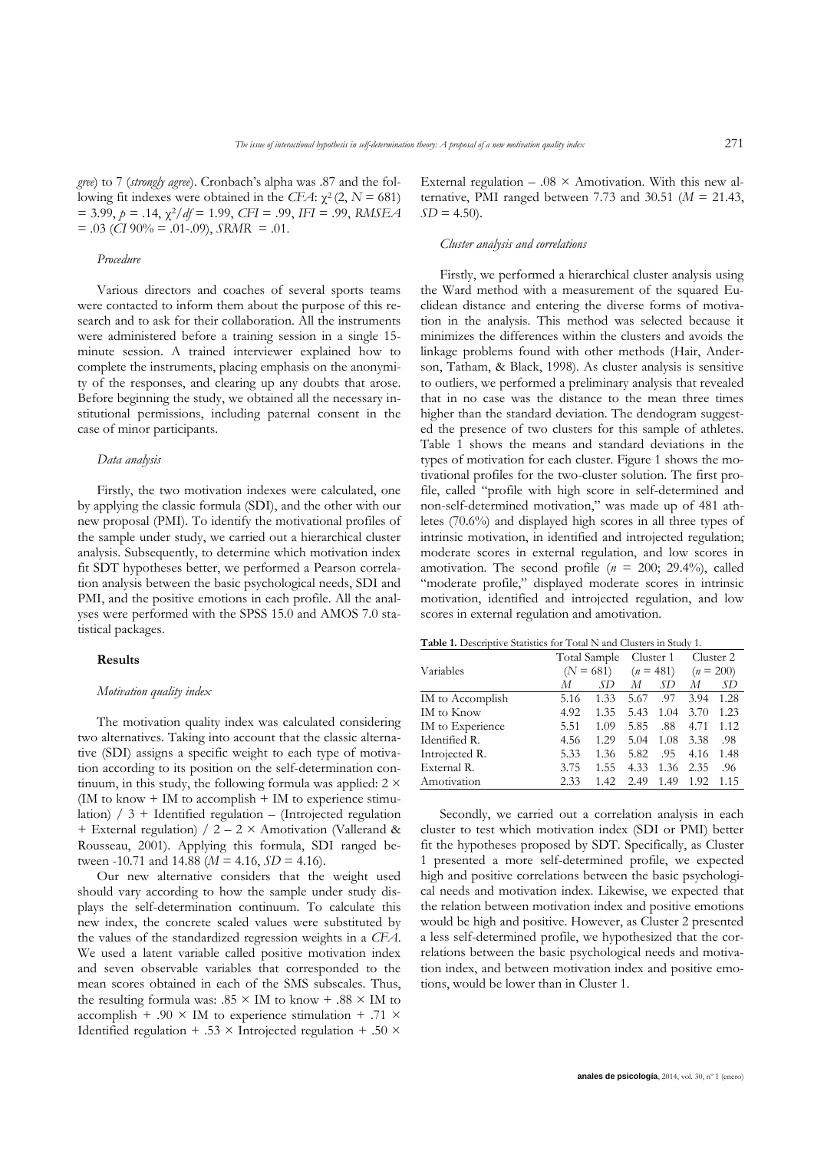*gree*) to 7 (*strongly agree*). Cronbach's alpha was .87 and the following fit indexes were obtained in the *CFA*:  $χ²(2, N = 681)$  $= 3.99, p = .14, \frac{\chi^2}{df} = 1.99, CFI = .99, IFI = .99, RMSEA$  $= .03$  (*CI* 90%  $= .01-.09$ ), *SRMR*  $= .01$ .

### *Procedure*

Various directors and coaches of several sports teams were contacted to inform them about the purpose of this research and to ask for their collaboration. All the instruments were administered before a training session in a single 15 minute session. A trained interviewer explained how to complete the instruments, placing emphasis on the anonymity of the responses, and clearing up any doubts that arose. Before beginning the study, we obtained all the necessary institutional permissions, including paternal consent in the case of minor participants.

### *Data analysis*

Firstly, the two motivation indexes were calculated, one by applying the classic formula (SDI), and the other with our new proposal (PMI). To identify the motivational profiles of the sample under study, we carried out a hierarchical cluster analysis. Subsequently, to determine which motivation index fit SDT hypotheses better, we performed a Pearson correlation analysis between the basic psychological needs, SDI and PMI, and the positive emotions in each profile. All the analyses were performed with the SPSS 15.0 and AMOS 7.0 statistical packages.

#### **Results**

#### *Motivation quality index*

The motivation quality index was calculated considering two alternatives. Taking into account that the classic alternative (SDI) assigns a specific weight to each type of motivation according to its position on the self-determination continuum, in this study, the following formula was applied:  $2 \times$ (IM to know + IM to accomplish + IM to experience stimulation) / 3 + Identified regulation – (Introjected regulation + External regulation) /  $2 - 2 \times$  Amotivation (Vallerand & Rousseau, 2001). Applying this formula, SDI ranged between -10.71 and 14.88 (*M* = 4.16, *SD* = 4.16).

Our new alternative considers that the weight used should vary according to how the sample under study displays the self-determination continuum. To calculate this new index, the concrete scaled values were substituted by the values of the standardized regression weights in a *CFA*. We used a latent variable called positive motivation index and seven observable variables that corresponded to the mean scores obtained in each of the SMS subscales. Thus, the resulting formula was: .85  $\times$  IM to know + .88  $\times$  IM to accomplish + .90  $\times$  IM to experience stimulation + .71  $\times$ Identified regulation + .53  $\times$  Introjected regulation + .50  $\times$ 

External regulation – .08  $\times$  Amotivation. With this new alternative, PMI ranged between 7.73 and 30.51 (*M* = 21.43,  $SD = 4.50$ .

#### *Cluster analysis and correlations*

Firstly, we performed a hierarchical cluster analysis using the Ward method with a measurement of the squared Euclidean distance and entering the diverse forms of motivation in the analysis. This method was selected because it minimizes the differences within the clusters and avoids the linkage problems found with other methods (Hair, Anderson, Tatham, & Black, 1998). As cluster analysis is sensitive to outliers, we performed a preliminary analysis that revealed that in no case was the distance to the mean three times higher than the standard deviation. The dendogram suggested the presence of two clusters for this sample of athletes. Table 1 shows the means and standard deviations in the types of motivation for each cluster. Figure 1 shows the motivational profiles for the two-cluster solution. The first profile, called "profile with high score in self-determined and non-self-determined motivation," was made up of 481 athletes (70.6%) and displayed high scores in all three types of intrinsic motivation, in identified and introjected regulation; moderate scores in external regulation, and low scores in amotivation. The second profile  $(n = 200; 29.4\%)$ , called "moderate profile," displayed moderate scores in intrinsic motivation, identified and introjected regulation, and low scores in external regulation and amotivation.

**Table 1.** Descriptive Statistics for Total N and Clusters in Study 1.

|                  | Total Sample | Cluster 1<br>$(n = 481)$ |      | Cluster 2<br>$(n = 200)$ |      |      |
|------------------|--------------|--------------------------|------|--------------------------|------|------|
| Variables        | $(N = 681)$  |                          |      |                          |      |      |
|                  | М            | SD                       | М    | SD                       | М    | SD   |
| IM to Accomplish | 5.16         | 1.33                     | 5.67 | .97                      | 3.94 | 1.28 |
| IM to Know       | 4.92         | 1.35                     | 5.43 | 1.04                     | 3.70 | 1.23 |
| IM to Experience | 5.51         | 1.09                     | 5.85 | .88                      | 4.71 | 1.12 |
| Identified R.    | 4.56         | 1.29                     | 5.04 | 1.08                     | 3.38 | .98  |
| Introjected R.   | 5.33         | 1.36                     | 5.82 | .95                      | 4.16 | 1.48 |
| External R.      | 3.75         | 1.55                     | 4.33 | 1.36                     | 2.35 | .96  |
| Amotivation      | 2.33         | 1.42.                    | 2.49 | 1.49                     | 1.92 | 1.15 |

Secondly, we carried out a correlation analysis in each cluster to test which motivation index (SDI or PMI) better fit the hypotheses proposed by SDT. Specifically, as Cluster 1 presented a more self-determined profile, we expected high and positive correlations between the basic psychological needs and motivation index. Likewise, we expected that the relation between motivation index and positive emotions would be high and positive. However, as Cluster 2 presented a less self-determined profile, we hypothesized that the correlations between the basic psychological needs and motivation index, and between motivation index and positive emotions, would be lower than in Cluster 1.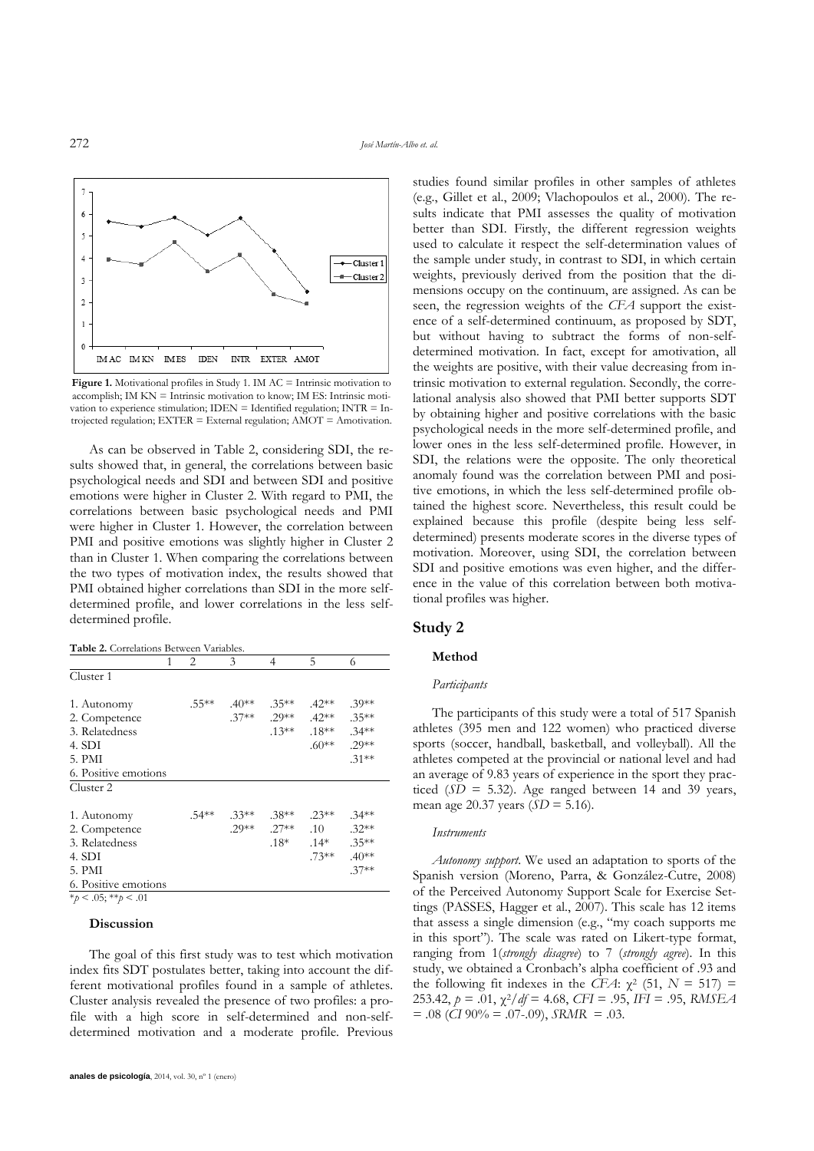

Figure 1. Motivational profiles in Study 1. IM AC = Intrinsic motivation to accomplish; IM  $KN = 1$ ntrinsic motivation to know; IM ES: Intrinsic motivation to experience stimulation;  $IDEN =$  Identified regulation;  $INTR = In$ trojected regulation; EXTER = External regulation; AMOT = Amotivation.

As can be observed in Table 2, considering SDI, the results showed that, in general, the correlations between basic psychological needs and SDI and between SDI and positive emotions were higher in Cluster 2. With regard to PMI, the correlations between basic psychological needs and PMI were higher in Cluster 1. However, the correlation between PMI and positive emotions was slightly higher in Cluster 2 than in Cluster 1. When comparing the correlations between the two types of motivation index, the results showed that PMI obtained higher correlations than SDI in the more selfdetermined profile, and lower correlations in the less selfdetermined profile.

| $.55***$ | $.40**$<br>$.37**$ | $.35***$<br>$.29**$<br>$.13***$ | $.42**$<br>$.42**$<br>$.60**$       | $.39**$<br>$.35***$<br>$.34***$<br>$.29**$<br>$.31**$ |
|----------|--------------------|---------------------------------|-------------------------------------|-------------------------------------------------------|
|          |                    |                                 |                                     |                                                       |
|          |                    |                                 |                                     |                                                       |
| $.54***$ | $.33**$<br>$.29**$ | $.38**$<br>$.27**$<br>$.18*$    | $.23**$<br>.10<br>$.14*$<br>$.73**$ | $.34**$<br>$.32**$<br>$.35***$<br>$.40**$<br>$.37**$  |
|          |                    |                                 |                                     | $.18***$                                              |

### **Discussion**

The goal of this first study was to test which motivation index fits SDT postulates better, taking into account the different motivational profiles found in a sample of athletes. Cluster analysis revealed the presence of two profiles: a profile with a high score in self-determined and non-selfdetermined motivation and a moderate profile. Previous

studies found similar profiles in other samples of athletes (e.g., Gillet et al., 2009; Vlachopoulos et al., 2000). The results indicate that PMI assesses the quality of motivation better than SDI. Firstly, the different regression weights used to calculate it respect the self-determination values of the sample under study, in contrast to SDI, in which certain weights, previously derived from the position that the dimensions occupy on the continuum, are assigned. As can be seen, the regression weights of the *CFA* support the existence of a self-determined continuum, as proposed by SDT, but without having to subtract the forms of non-selfdetermined motivation. In fact, except for amotivation, all the weights are positive, with their value decreasing from intrinsic motivation to external regulation. Secondly, the correlational analysis also showed that PMI better supports SDT by obtaining higher and positive correlations with the basic psychological needs in the more self-determined profile, and lower ones in the less self-determined profile. However, in SDI, the relations were the opposite. The only theoretical anomaly found was the correlation between PMI and positive emotions, in which the less self-determined profile obtained the highest score. Nevertheless, this result could be explained because this profile (despite being less selfdetermined) presents moderate scores in the diverse types of motivation. Moreover, using SDI, the correlation between SDI and positive emotions was even higher, and the difference in the value of this correlation between both motivational profiles was higher.

### **Study 2**

### **Method**

### *Participants*

The participants of this study were a total of 517 Spanish athletes (395 men and 122 women) who practiced diverse sports (soccer, handball, basketball, and volleyball). All the athletes competed at the provincial or national level and had an average of 9.83 years of experience in the sport they practiced  $(SD = 5.32)$ . Age ranged between 14 and 39 years, mean age 20.37 years (*SD* = 5.16).

#### *Instruments*

*Autonomy support*. We used an adaptation to sports of the Spanish version (Moreno, Parra, & González-Cutre, 2008) of the Perceived Autonomy Support Scale for Exercise Settings (PASSES, Hagger et al., 2007). This scale has 12 items that assess a single dimension (e.g., "my coach supports me in this sport"). The scale was rated on Likert-type format, ranging from 1(*strongly disagree*) to 7 (*strongly agree*). In this study, we obtained a Cronbach's alpha coefficient of .93 and the following fit indexes in the *CFA*:  $\chi^2$  (51, *N* = 517) = 253.42, *p* = .01, χ2/*df* = 4.68, *CFI* = .95, *IFI* = .95, *RMSEA*  $= .08$  (*CI* 90%  $= .07-.09$ ), *SRMR*  $= .03$ .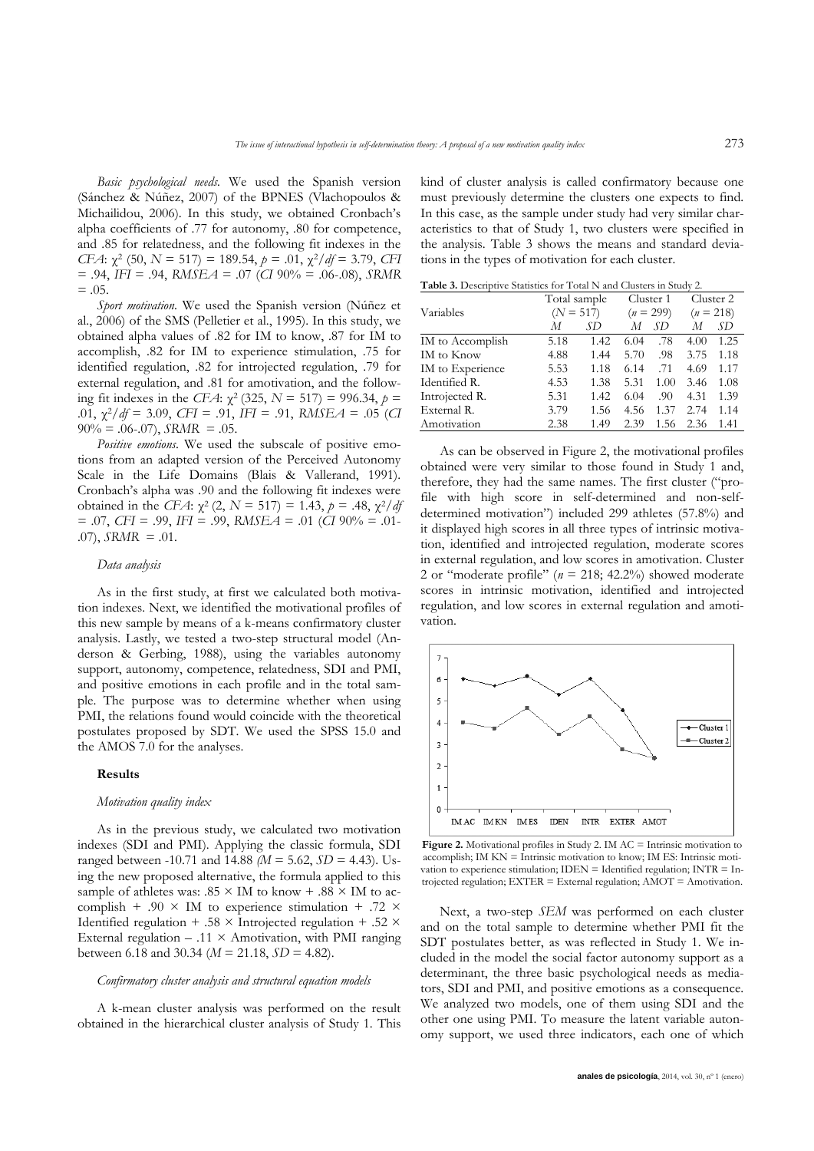*Basic psychological needs.* We used the Spanish version (Sánchez & Núñez, 2007) of the BPNES (Vlachopoulos & Michailidou, 2006). In this study, we obtained Cronbach's alpha coefficients of .77 for autonomy, .80 for competence, and .85 for relatedness, and the following fit indexes in the *CFA*:  $\chi^2$  (50, *N* = 517) = 189.54, *p* = .01,  $\chi^2/df$  = 3.79, *CFI* = .94, *IFI* = .94, *RMSEA* = .07 (*CI* 90% = .06-.08), *SRMR*   $= .05.$ 

*Sport motivation*. We used the Spanish version (Núñez et al., 2006) of the SMS (Pelletier et al., 1995). In this study, we obtained alpha values of .82 for IM to know, .87 for IM to accomplish, .82 for IM to experience stimulation, .75 for identified regulation, .82 for introjected regulation, .79 for external regulation, and .81 for amotivation, and the following fit indexes in the *CFA*:  $\chi^2$  (325, *N* = 517) = 996.34, *p* = .01, χ <sup>2</sup>/*df* = 3.09, *CFI* = .91, *IFI* = .91, *RMSEA* = .05 (*CI*  $90\% = .06-.07$ , *SRMR* = .05.

*Positive emotions*. We used the subscale of positive emotions from an adapted version of the Perceived Autonomy Scale in the Life Domains (Blais & Vallerand, 1991). Cronbach's alpha was .90 and the following fit indexes were obtained in the *CFA*:  $\chi^2$  (2, *N* = 517) = 1.43, *p* = .48,  $\chi^2/df$ = .07, *CFI* = .99, *IFI* = .99, *RMSEA* = .01 (*CI* 90% = .01- .07), *SRMR* = .01.

### *Data analysis*

As in the first study, at first we calculated both motivation indexes. Next, we identified the motivational profiles of this new sample by means of a k-means confirmatory cluster analysis. Lastly, we tested a two-step structural model (Anderson & Gerbing, 1988), using the variables autonomy support, autonomy, competence, relatedness, SDI and PMI, and positive emotions in each profile and in the total sample. The purpose was to determine whether when using PMI, the relations found would coincide with the theoretical postulates proposed by SDT. We used the SPSS 15.0 and the AMOS 7.0 for the analyses.

### **Results**

### *Motivation quality index*

As in the previous study, we calculated two motivation indexes (SDI and PMI). Applying the classic formula, SDI ranged between -10.71 and 14.88 *(M* = 5.62, *SD* = 4.43). Using the new proposed alternative, the formula applied to this sample of athletes was: .85  $\times$  IM to know + .88  $\times$  IM to accomplish + .90  $\times$  IM to experience stimulation + .72  $\times$ Identified regulation + .58  $\times$  Introjected regulation + .52  $\times$ External regulation  $- .11 \times$  Amotivation, with PMI ranging between 6.18 and 30.34 (*M* = 21.18, *SD* = 4.82).

#### *Confirmatory cluster analysis and structural equation models*

A k-mean cluster analysis was performed on the result obtained in the hierarchical cluster analysis of Study 1. This kind of cluster analysis is called confirmatory because one must previously determine the clusters one expects to find. In this case, as the sample under study had very similar characteristics to that of Study 1, two clusters were specified in the analysis. Table 3 shows the means and standard deviations in the types of motivation for each cluster.

**Table 3.** Descriptive Statistics for Total N and Clusters in Study 2.

|                  |      | Total sample |      | Cluster 1   |      | Cluster 2   |  |
|------------------|------|--------------|------|-------------|------|-------------|--|
| Variables        |      | $(N = 517)$  |      | $(n = 299)$ |      | $(n = 218)$ |  |
|                  | М    | SD           | М    | SD          | М    | SD          |  |
| IM to Accomplish | 5.18 | 1.42         | 6.04 | .78         | 4.00 | 1.25        |  |
| IM to Know       | 4.88 | 1.44         | 5.70 | .98         | 3.75 | 1.18        |  |
| IM to Experience | 5.53 | 1.18         | 6.14 | .71         | 4.69 | 1.17        |  |
| Identified R.    | 4.53 | 1.38         | 5.31 | 1.00        | 3.46 | 1.08        |  |
| Introjected R.   | 5.31 | 1.42         | 6.04 | .90         | 4.31 | 1.39        |  |
| External R.      | 3.79 | 1.56         | 4.56 | 1.37        | 2.74 | 1.14        |  |
| Amotivation      | 2.38 | 1.49         | 2.39 | 1.56        | 2.36 | 1.41        |  |

As can be observed in Figure 2, the motivational profiles obtained were very similar to those found in Study 1 and, therefore, they had the same names. The first cluster ("profile with high score in self-determined and non-selfdetermined motivation") included 299 athletes (57.8%) and it displayed high scores in all three types of intrinsic motivation, identified and introjected regulation, moderate scores in external regulation, and low scores in amotivation. Cluster 2 or "moderate profile" (*n* = 218; 42.2%) showed moderate scores in intrinsic motivation, identified and introjected regulation, and low scores in external regulation and amotivation.



**Figure 2.** Motivational profiles in Study 2. IM AC = Intrinsic motivation to accomplish; IM KN = Intrinsic motivation to know; IM ES: Intrinsic motivation to experience stimulation; IDEN = Identified regulation; INTR = Introjected regulation; EXTER = External regulation; AMOT = Amotivation.

Next, a two-step *SEM* was performed on each cluster and on the total sample to determine whether PMI fit the SDT postulates better, as was reflected in Study 1. We included in the model the social factor autonomy support as a determinant, the three basic psychological needs as mediators, SDI and PMI, and positive emotions as a consequence. We analyzed two models, one of them using SDI and the other one using PMI. To measure the latent variable autonomy support, we used three indicators, each one of which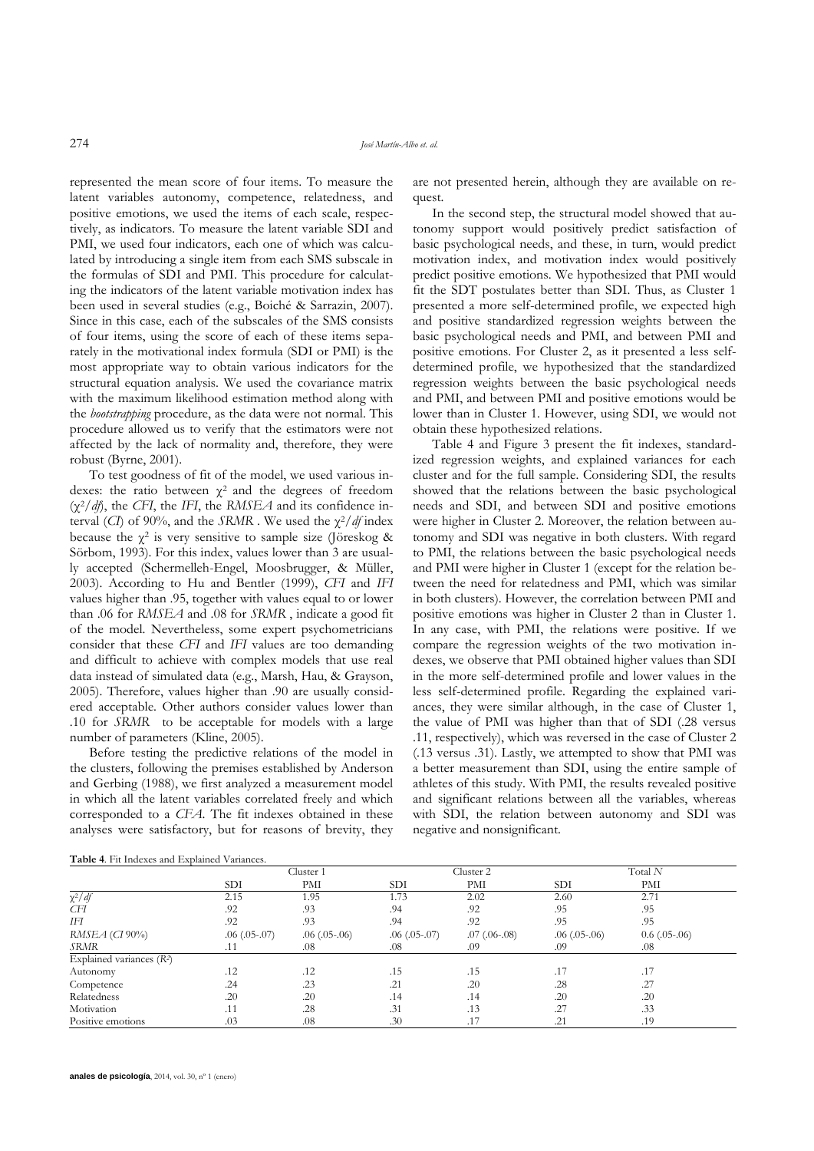represented the mean score of four items. To measure the latent variables autonomy, competence, relatedness, and positive emotions, we used the items of each scale, respectively, as indicators. To measure the latent variable SDI and PMI, we used four indicators, each one of which was calculated by introducing a single item from each SMS subscale in the formulas of SDI and PMI. This procedure for calculating the indicators of the latent variable motivation index has been used in several studies (e.g., Boiché & Sarrazin, 2007). Since in this case, each of the subscales of the SMS consists of four items, using the score of each of these items separately in the motivational index formula (SDI or PMI) is the most appropriate way to obtain various indicators for the structural equation analysis. We used the covariance matrix with the maximum likelihood estimation method along with the *bootstrapping* procedure, as the data were not normal. This procedure allowed us to verify that the estimators were not affected by the lack of normality and, therefore, they were robust (Byrne, 2001).

To test goodness of fit of the model, we used various indexes: the ratio between  $\chi^2$  and the degrees of freedom (χ2/*df*), the *CFI*, the *IFI*, the *RMSEA* and its confidence interval (*CI*) of 90%, and the *SRMR* . We used the χ2/*df* index because the  $\chi^2$  is very sensitive to sample size (Jöreskog & Sörbom, 1993). For this index, values lower than 3 are usually accepted (Schermelleh-Engel, Moosbrugger, & Müller, 2003). According to Hu and Bentler (1999), *CFI* and *IFI* values higher than .95, together with values equal to or lower than .06 for *RMSEA* and .08 for *SRMR* , indicate a good fit of the model. Nevertheless, some expert psychometricians consider that these *CFI* and *IFI* values are too demanding and difficult to achieve with complex models that use real data instead of simulated data (e.g., Marsh, Hau, & Grayson, 2005). Therefore, values higher than .90 are usually considered acceptable. Other authors consider values lower than .10 for *SRMR* to be acceptable for models with a large number of parameters (Kline, 2005).

Before testing the predictive relations of the model in the clusters, following the premises established by Anderson and Gerbing (1988), we first analyzed a measurement model in which all the latent variables correlated freely and which corresponded to a *CFA*. The fit indexes obtained in these analyses were satisfactory, but for reasons of brevity, they are not presented herein, although they are available on request.

In the second step, the structural model showed that autonomy support would positively predict satisfaction of basic psychological needs, and these, in turn, would predict motivation index, and motivation index would positively predict positive emotions. We hypothesized that PMI would fit the SDT postulates better than SDI. Thus, as Cluster 1 presented a more self-determined profile, we expected high and positive standardized regression weights between the basic psychological needs and PMI, and between PMI and positive emotions. For Cluster 2, as it presented a less selfdetermined profile, we hypothesized that the standardized regression weights between the basic psychological needs and PMI, and between PMI and positive emotions would be lower than in Cluster 1. However, using SDI, we would not obtain these hypothesized relations.

Table 4 and Figure 3 present the fit indexes, standardized regression weights, and explained variances for each cluster and for the full sample. Considering SDI, the results showed that the relations between the basic psychological needs and SDI, and between SDI and positive emotions were higher in Cluster 2. Moreover, the relation between autonomy and SDI was negative in both clusters. With regard to PMI, the relations between the basic psychological needs and PMI were higher in Cluster 1 (except for the relation between the need for relatedness and PMI, which was similar in both clusters). However, the correlation between PMI and positive emotions was higher in Cluster 2 than in Cluster 1. In any case, with PMI, the relations were positive. If we compare the regression weights of the two motivation indexes, we observe that PMI obtained higher values than SDI in the more self-determined profile and lower values in the less self-determined profile. Regarding the explained variances, they were similar although, in the case of Cluster 1, the value of PMI was higher than that of SDI (.28 versus .11, respectively), which was reversed in the case of Cluster 2 (.13 versus .31). Lastly, we attempted to show that PMI was a better measurement than SDI, using the entire sample of athletes of this study. With PMI, the results revealed positive and significant relations between all the variables, whereas with SDI, the relation between autonomy and SDI was negative and nonsignificant.

|                            | Cluster 1      |                   |                   | Cluster 2        | Total $N$      |                 |  |
|----------------------------|----------------|-------------------|-------------------|------------------|----------------|-----------------|--|
|                            | <b>SDI</b>     | РМІ               | <b>SDI</b>        | PMI              | <b>SDI</b>     | PMI             |  |
| $\chi^2/df$                | 2.15           | 1.95              | 1.73              | 2.02             | 2.60           | 2.71            |  |
| <b>CFI</b>                 | .92            | .93               | .94               | .92              | .95            | .95             |  |
| ΙFΙ                        | .92            | .93               | .94               | .92              | .95            | .95             |  |
| RMSE $A$ (CI 90%)          | $.06(.05-.07)$ | $.06$ $(.05-.06)$ | $.06$ $(.05-.07)$ | $.07(0.06-0.08)$ | $.06(.05-.06)$ | $0.6$ (.05-.06) |  |
| SRMR                       | .11            | $.08\,$           | .08               | .09              | .09            | .08             |  |
| Explained variances $(R2)$ |                |                   |                   |                  |                |                 |  |
| Autonomy                   | .12            | .12               | .15               | .15              | .17            | .17             |  |
| Competence                 | .24            | .23               | .21               | .20              | .28            | .27             |  |
| Relatedness                | .20            | .20               | .14               | .14              | .20            | .20             |  |
| Motivation                 | .11            | .28               | .31               | .13              | .27            | .33             |  |
| Positive emotions          | .03            | .08               | .30               | .17              | .21            | .19             |  |

**Table 4**. Fit Indexes and Explained Variances.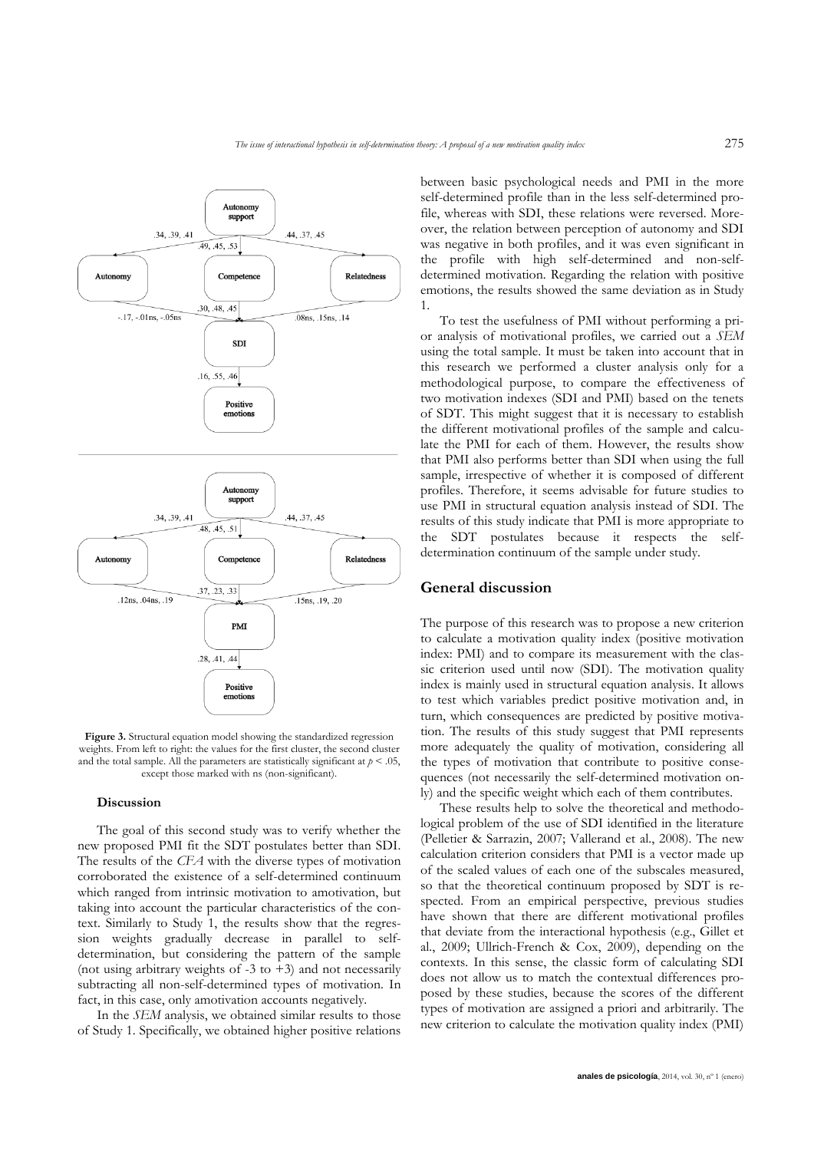

**Figure 3.** Structural equation model showing the standardized regression weights. From left to right: the values for the first cluster, the second cluster and the total sample. All the parameters are statistically significant at  $p < .05$ , except those marked with ns (non-significant).

### **Discussion**

The goal of this second study was to verify whether the new proposed PMI fit the SDT postulates better than SDI. The results of the *CFA* with the diverse types of motivation corroborated the existence of a self-determined continuum which ranged from intrinsic motivation to amotivation, but taking into account the particular characteristics of the context. Similarly to Study 1, the results show that the regression weights gradually decrease in parallel to selfdetermination, but considering the pattern of the sample (not using arbitrary weights of  $-3$  to  $+3$ ) and not necessarily subtracting all non-self-determined types of motivation. In fact, in this case, only amotivation accounts negatively.

In the *SEM* analysis, we obtained similar results to those of Study 1. Specifically, we obtained higher positive relations

between basic psychological needs and PMI in the more self-determined profile than in the less self-determined profile, whereas with SDI, these relations were reversed. Moreover, the relation between perception of autonomy and SDI was negative in both profiles, and it was even significant in the profile with high self-determined and non-selfdetermined motivation. Regarding the relation with positive emotions, the results showed the same deviation as in Study 1.

To test the usefulness of PMI without performing a prior analysis of motivational profiles, we carried out a *SEM* using the total sample. It must be taken into account that in this research we performed a cluster analysis only for a methodological purpose, to compare the effectiveness of two motivation indexes (SDI and PMI) based on the tenets of SDT. This might suggest that it is necessary to establish the different motivational profiles of the sample and calculate the PMI for each of them. However, the results show that PMI also performs better than SDI when using the full sample, irrespective of whether it is composed of different profiles. Therefore, it seems advisable for future studies to use PMI in structural equation analysis instead of SDI. The results of this study indicate that PMI is more appropriate to the SDT postulates because it respects the selfdetermination continuum of the sample under study.

### **General discussion**

The purpose of this research was to propose a new criterion to calculate a motivation quality index (positive motivation index: PMI) and to compare its measurement with the classic criterion used until now (SDI). The motivation quality index is mainly used in structural equation analysis. It allows to test which variables predict positive motivation and, in turn, which consequences are predicted by positive motivation. The results of this study suggest that PMI represents more adequately the quality of motivation, considering all the types of motivation that contribute to positive consequences (not necessarily the self-determined motivation only) and the specific weight which each of them contributes.

These results help to solve the theoretical and methodological problem of the use of SDI identified in the literature (Pelletier & Sarrazin, 2007; Vallerand et al., 2008). The new calculation criterion considers that PMI is a vector made up of the scaled values of each one of the subscales measured, so that the theoretical continuum proposed by SDT is respected. From an empirical perspective, previous studies have shown that there are different motivational profiles that deviate from the interactional hypothesis (e.g., Gillet et al., 2009; Ullrich-French & Cox, 2009), depending on the contexts. In this sense, the classic form of calculating SDI does not allow us to match the contextual differences proposed by these studies, because the scores of the different types of motivation are assigned a priori and arbitrarily. The new criterion to calculate the motivation quality index (PMI)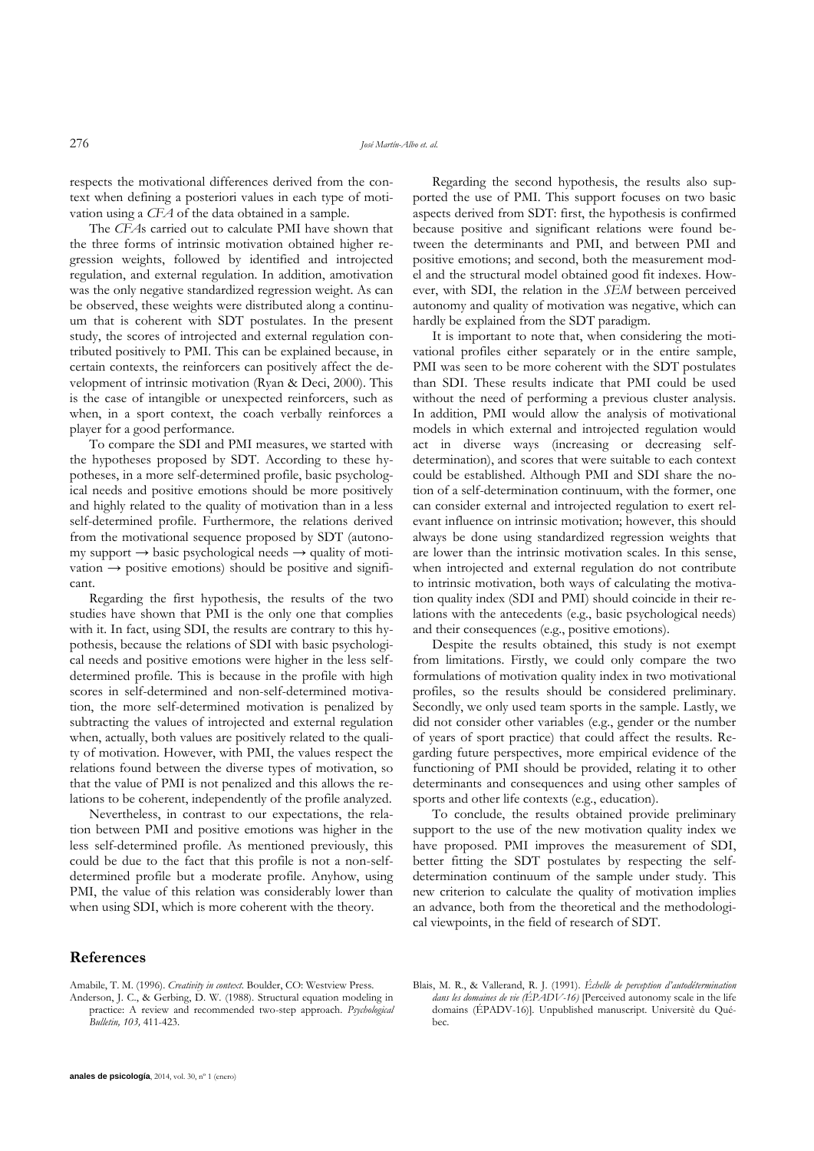respects the motivational differences derived from the context when defining a posteriori values in each type of motivation using a *CFA* of the data obtained in a sample.

The *CFA*s carried out to calculate PMI have shown that the three forms of intrinsic motivation obtained higher regression weights, followed by identified and introjected regulation, and external regulation. In addition, amotivation was the only negative standardized regression weight. As can be observed, these weights were distributed along a continuum that is coherent with SDT postulates. In the present study, the scores of introjected and external regulation contributed positively to PMI. This can be explained because, in certain contexts, the reinforcers can positively affect the development of intrinsic motivation (Ryan & Deci, 2000). This is the case of intangible or unexpected reinforcers, such as when, in a sport context, the coach verbally reinforces a player for a good performance.

To compare the SDI and PMI measures, we started with the hypotheses proposed by SDT. According to these hypotheses, in a more self-determined profile, basic psychological needs and positive emotions should be more positively and highly related to the quality of motivation than in a less self-determined profile. Furthermore, the relations derived from the motivational sequence proposed by SDT (autonomy support  $\rightarrow$  basic psychological needs  $\rightarrow$  quality of motivation  $\rightarrow$  positive emotions) should be positive and significant.

Regarding the first hypothesis, the results of the two studies have shown that PMI is the only one that complies with it. In fact, using SDI, the results are contrary to this hypothesis, because the relations of SDI with basic psychological needs and positive emotions were higher in the less selfdetermined profile. This is because in the profile with high scores in self-determined and non-self-determined motivation, the more self-determined motivation is penalized by subtracting the values of introjected and external regulation when, actually, both values are positively related to the quality of motivation. However, with PMI, the values respect the relations found between the diverse types of motivation, so that the value of PMI is not penalized and this allows the relations to be coherent, independently of the profile analyzed.

Nevertheless, in contrast to our expectations, the relation between PMI and positive emotions was higher in the less self-determined profile. As mentioned previously, this could be due to the fact that this profile is not a non-selfdetermined profile but a moderate profile. Anyhow, using PMI, the value of this relation was considerably lower than when using SDI, which is more coherent with the theory.

Regarding the second hypothesis, the results also supported the use of PMI. This support focuses on two basic aspects derived from SDT: first, the hypothesis is confirmed because positive and significant relations were found between the determinants and PMI, and between PMI and positive emotions; and second, both the measurement model and the structural model obtained good fit indexes. However, with SDI, the relation in the *SEM* between perceived autonomy and quality of motivation was negative, which can hardly be explained from the SDT paradigm.

It is important to note that, when considering the motivational profiles either separately or in the entire sample, PMI was seen to be more coherent with the SDT postulates than SDI. These results indicate that PMI could be used without the need of performing a previous cluster analysis. In addition, PMI would allow the analysis of motivational models in which external and introjected regulation would act in diverse ways (increasing or decreasing selfdetermination), and scores that were suitable to each context could be established. Although PMI and SDI share the notion of a self-determination continuum, with the former, one can consider external and introjected regulation to exert relevant influence on intrinsic motivation; however, this should always be done using standardized regression weights that are lower than the intrinsic motivation scales. In this sense, when introjected and external regulation do not contribute to intrinsic motivation, both ways of calculating the motivation quality index (SDI and PMI) should coincide in their relations with the antecedents (e.g., basic psychological needs) and their consequences (e.g., positive emotions).

Despite the results obtained, this study is not exempt from limitations. Firstly, we could only compare the two formulations of motivation quality index in two motivational profiles, so the results should be considered preliminary. Secondly, we only used team sports in the sample. Lastly, we did not consider other variables (e.g., gender or the number of years of sport practice) that could affect the results. Regarding future perspectives, more empirical evidence of the functioning of PMI should be provided, relating it to other determinants and consequences and using other samples of sports and other life contexts (e.g., education).

To conclude, the results obtained provide preliminary support to the use of the new motivation quality index we have proposed. PMI improves the measurement of SDI, better fitting the SDT postulates by respecting the selfdetermination continuum of the sample under study. This new criterion to calculate the quality of motivation implies an advance, both from the theoretical and the methodological viewpoints, in the field of research of SDT.

### **References**

Amabile, T. M. (1996). *Creativity in context*. Boulder, CO: Westview Press.

Anderson, J. C., & Gerbing, D. W. (1988). Structural equation modeling in practice: A review and recommended two-step approach. *Psychological Bulletin, 103,* 411-423.

Blais, M. R., & Vallerand, R. J. (1991). *Échelle de perception d'autodétermination dans les domaines de vie (ÉPADV-16)* [Perceived autonomy scale in the life domains (ÉPADV-16)]*.* Unpublished manuscript. Universitè du Québec.